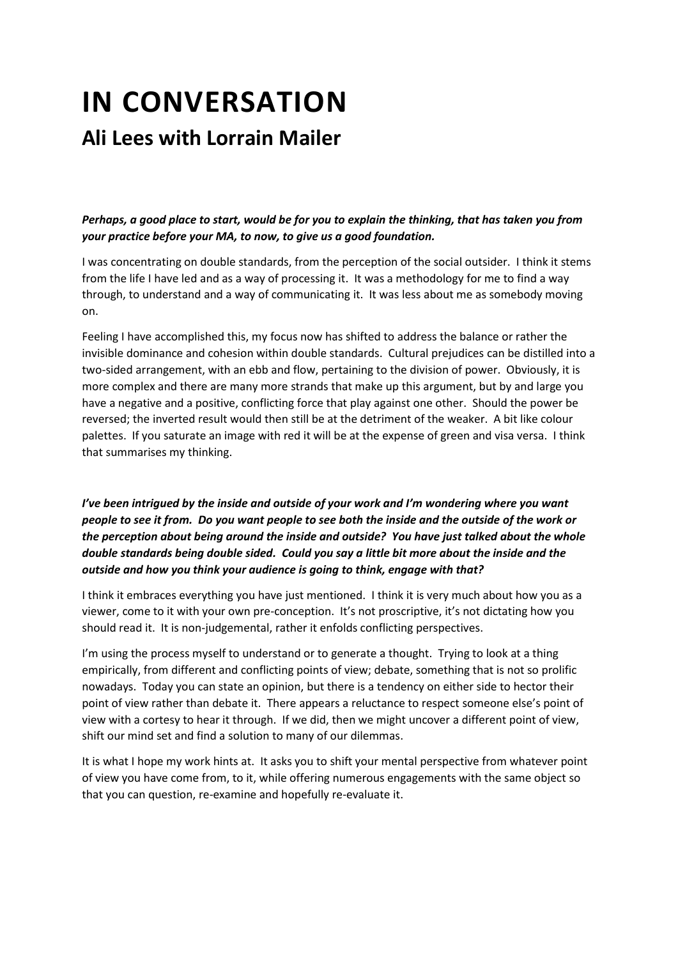# **IN CONVERSATION Ali Lees with Lorrain Mailer**

*Perhaps, a good place to start, would be for you to explain the thinking, that has taken you from your practice before your MA, to now, to give us a good foundation.*

I was concentrating on double standards, from the perception of the social outsider. I think it stems from the life I have led and as a way of processing it. It was a methodology for me to find a way through, to understand and a way of communicating it. It was less about me as somebody moving on.

Feeling I have accomplished this, my focus now has shifted to address the balance or rather the invisible dominance and cohesion within double standards. Cultural prejudices can be distilled into a two-sided arrangement, with an ebb and flow, pertaining to the division of power. Obviously, it is more complex and there are many more strands that make up this argument, but by and large you have a negative and a positive, conflicting force that play against one other. Should the power be reversed; the inverted result would then still be at the detriment of the weaker. A bit like colour palettes. If you saturate an image with red it will be at the expense of green and visa versa. I think that summarises my thinking.

*I've been intrigued by the inside and outside of your work and I'm wondering where you want people to see it from. Do you want people to see both the inside and the outside of the work or the perception about being around the inside and outside? You have just talked about the whole double standards being double sided. Could you say a little bit more about the inside and the outside and how you think your audience is going to think, engage with that?* 

I think it embraces everything you have just mentioned. I think it is very much about how you as a viewer, come to it with your own pre-conception. It's not proscriptive, it's not dictating how you should read it. It is non-judgemental, rather it enfolds conflicting perspectives.

I'm using the process myself to understand or to generate a thought. Trying to look at a thing empirically, from different and conflicting points of view; debate, something that is not so prolific nowadays. Today you can state an opinion, but there is a tendency on either side to hector their point of view rather than debate it. There appears a reluctance to respect someone else's point of view with a cortesy to hear it through. If we did, then we might uncover a different point of view, shift our mind set and find a solution to many of our dilemmas.

It is what I hope my work hints at. It asks you to shift your mental perspective from whatever point of view you have come from, to it, while offering numerous engagements with the same object so that you can question, re-examine and hopefully re-evaluate it.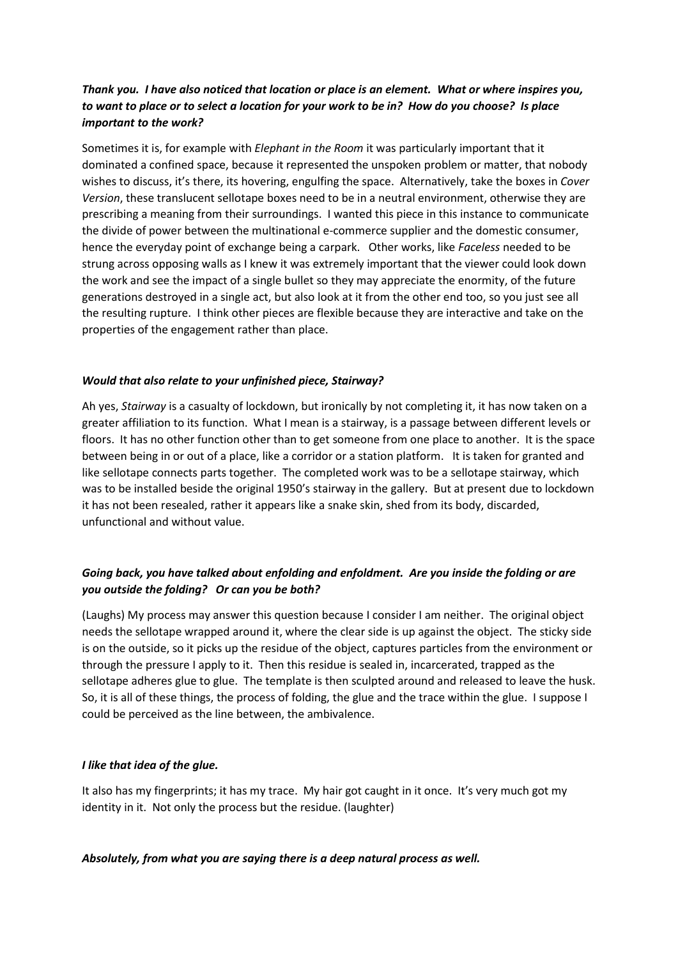# *Thank you. I have also noticed that location or place is an element. What or where inspires you, to want to place or to select a location for your work to be in? How do you choose? Is place important to the work?*

Sometimes it is, for example with *Elephant in the Room* it was particularly important that it dominated a confined space, because it represented the unspoken problem or matter, that nobody wishes to discuss, it's there, its hovering, engulfing the space. Alternatively, take the boxes in *Cover Version*, these translucent sellotape boxes need to be in a neutral environment, otherwise they are prescribing a meaning from their surroundings. I wanted this piece in this instance to communicate the divide of power between the multinational e-commerce supplier and the domestic consumer, hence the everyday point of exchange being a carpark. Other works, like *Faceless* needed to be strung across opposing walls as I knew it was extremely important that the viewer could look down the work and see the impact of a single bullet so they may appreciate the enormity, of the future generations destroyed in a single act, but also look at it from the other end too, so you just see all the resulting rupture. I think other pieces are flexible because they are interactive and take on the properties of the engagement rather than place.

## *Would that also relate to your unfinished piece, Stairway?*

Ah yes, *Stairway* is a casualty of lockdown, but ironically by not completing it, it has now taken on a greater affiliation to its function. What I mean is a stairway, is a passage between different levels or floors. It has no other function other than to get someone from one place to another. It is the space between being in or out of a place, like a corridor or a station platform. It is taken for granted and like sellotape connects parts together. The completed work was to be a sellotape stairway, which was to be installed beside the original 1950's stairway in the gallery. But at present due to lockdown it has not been resealed, rather it appears like a snake skin, shed from its body, discarded, unfunctional and without value.

# *Going back, you have talked about enfolding and enfoldment. Are you inside the folding or are you outside the folding? Or can you be both?*

(Laughs) My process may answer this question because I consider I am neither. The original object needs the sellotape wrapped around it, where the clear side is up against the object. The sticky side is on the outside, so it picks up the residue of the object, captures particles from the environment or through the pressure I apply to it. Then this residue is sealed in, incarcerated, trapped as the sellotape adheres glue to glue. The template is then sculpted around and released to leave the husk. So, it is all of these things, the process of folding, the glue and the trace within the glue. I suppose I could be perceived as the line between, the ambivalence.

### *I like that idea of the glue.*

It also has my fingerprints; it has my trace. My hair got caught in it once. It's very much got my identity in it. Not only the process but the residue. (laughter)

### *Absolutely, from what you are saying there is a deep natural process as well.*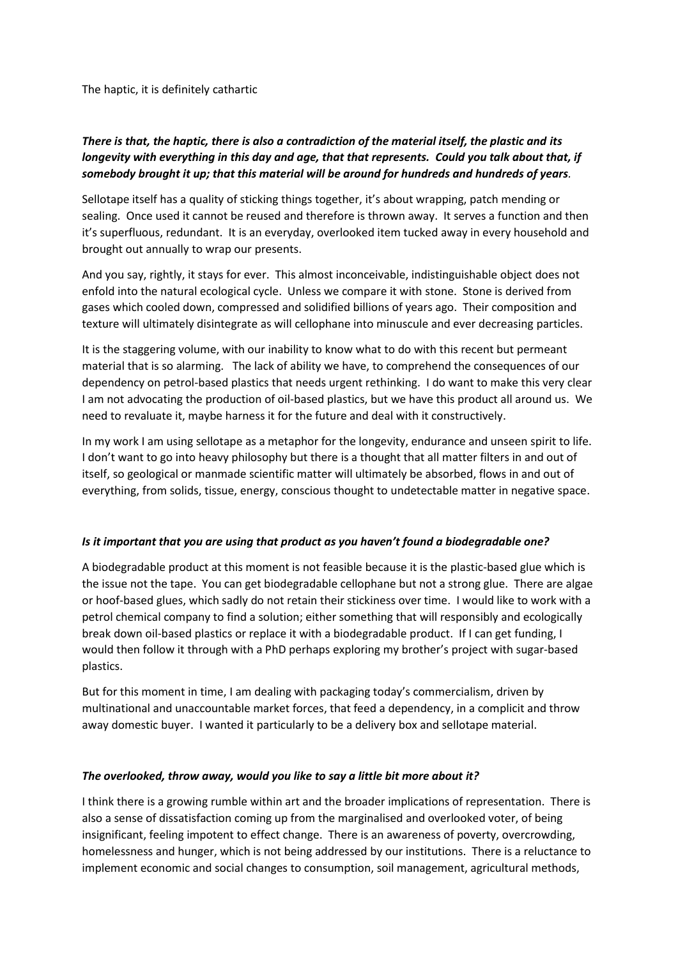The haptic, it is definitely cathartic

# *There is that, the haptic, there is also a contradiction of the material itself, the plastic and its longevity with everything in this day and age, that that represents. Could you talk about that, if somebody brought it up; that this material will be around for hundreds and hundreds of years.*

Sellotape itself has a quality of sticking things together, it's about wrapping, patch mending or sealing. Once used it cannot be reused and therefore is thrown away. It serves a function and then it's superfluous, redundant. It is an everyday, overlooked item tucked away in every household and brought out annually to wrap our presents.

And you say, rightly, it stays for ever. This almost inconceivable, indistinguishable object does not enfold into the natural ecological cycle. Unless we compare it with stone. Stone is derived from gases which cooled down, compressed and solidified billions of years ago. Their composition and texture will ultimately disintegrate as will cellophane into minuscule and ever decreasing particles.

It is the staggering volume, with our inability to know what to do with this recent but permeant material that is so alarming. The lack of ability we have, to comprehend the consequences of our dependency on petrol-based plastics that needs urgent rethinking. I do want to make this very clear I am not advocating the production of oil-based plastics, but we have this product all around us. We need to revaluate it, maybe harness it for the future and deal with it constructively.

In my work I am using sellotape as a metaphor for the longevity, endurance and unseen spirit to life. I don't want to go into heavy philosophy but there is a thought that all matter filters in and out of itself, so geological or manmade scientific matter will ultimately be absorbed, flows in and out of everything, from solids, tissue, energy, conscious thought to undetectable matter in negative space.

### *Is it important that you are using that product as you haven't found a biodegradable one?*

A biodegradable product at this moment is not feasible because it is the plastic-based glue which is the issue not the tape. You can get biodegradable cellophane but not a strong glue. There are algae or hoof-based glues, which sadly do not retain their stickiness over time. I would like to work with a petrol chemical company to find a solution; either something that will responsibly and ecologically break down oil-based plastics or replace it with a biodegradable product. If I can get funding, I would then follow it through with a PhD perhaps exploring my brother's project with sugar-based plastics.

But for this moment in time, I am dealing with packaging today's commercialism, driven by multinational and unaccountable market forces, that feed a dependency, in a complicit and throw away domestic buyer. I wanted it particularly to be a delivery box and sellotape material.

### *The overlooked, throw away, would you like to say a little bit more about it?*

I think there is a growing rumble within art and the broader implications of representation. There is also a sense of dissatisfaction coming up from the marginalised and overlooked voter, of being insignificant, feeling impotent to effect change. There is an awareness of poverty, overcrowding, homelessness and hunger, which is not being addressed by our institutions. There is a reluctance to implement economic and social changes to consumption, soil management, agricultural methods,